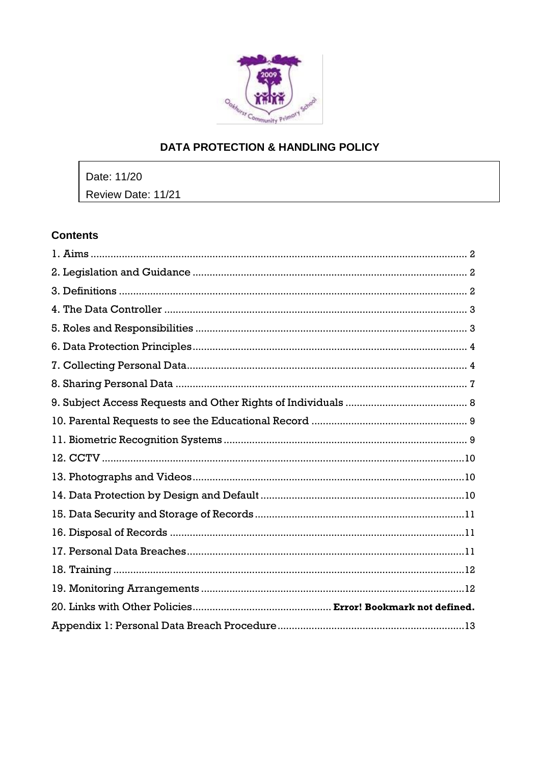

# **DATA PROTECTION & HANDLING POLICY**

Date: 11/20 Review Date: 11/21

# **Contents**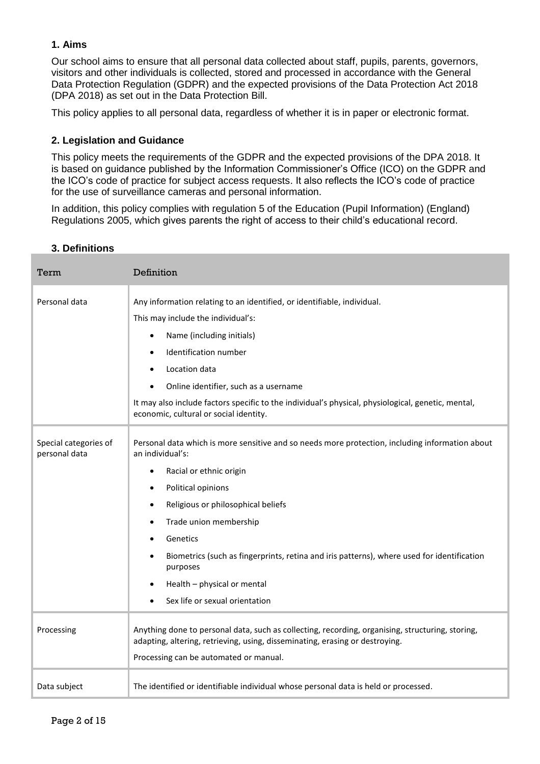# <span id="page-1-0"></span>**1. Aims**

Our school aims to ensure that all personal data collected about staff, pupils, parents, governors, visitors and other individuals is collected, stored and processed in accordance with the [General](http://data.consilium.europa.eu/doc/document/ST-5419-2016-INIT/en/pdf)  [Data Protection Regulation \(GDPR\)](http://data.consilium.europa.eu/doc/document/ST-5419-2016-INIT/en/pdf) and the expected provisions of the Data Protection Act 2018 (DPA 2018) as set out in the [Data Protection Bill.](https://publications.parliament.uk/pa/bills/cbill/2017-2019/0153/18153.pdf)

<span id="page-1-1"></span>This policy applies to all personal data, regardless of whether it is in paper or electronic format.

## **2. Legislation and Guidance**

This policy meets the requirements of the GDPR and the expected provisions of the DPA 2018. It is based on guidance published by the Information Commissioner's Office (ICO) on the [GDPR](https://ico.org.uk/for-organisations/guide-to-the-general-data-protection-regulation-gdpr/) and the ICO's [code of practice for subject access requests.](https://ico.org.uk/media/for-organisations/documents/2014223/subject-access-code-of-practice.pdf) It also reflects the ICO's [code of practice](https://ico.org.uk/media/for-organisations/documents/1542/cctv-code-of-practice.pdf) for the use of surveillance cameras and personal information.

In addition, this policy complies with regulation 5 of the [Education \(Pupil Information\) \(England\)](http://www.legislation.gov.uk/uksi/2005/1437/regulation/5/made)  [Regulations 2005,](http://www.legislation.gov.uk/uksi/2005/1437/regulation/5/made) which gives parents the right of access to their child's educational record.

#### <span id="page-1-2"></span>**3. Definitions**

| Term                                   | Definition                                                                                                                                                                                                                                                                                                                                                                                                                                                              |
|----------------------------------------|-------------------------------------------------------------------------------------------------------------------------------------------------------------------------------------------------------------------------------------------------------------------------------------------------------------------------------------------------------------------------------------------------------------------------------------------------------------------------|
| Personal data                          | Any information relating to an identified, or identifiable, individual.<br>This may include the individual's:<br>Name (including initials)<br>Identification number<br>$\bullet$<br>Location data<br>$\bullet$<br>Online identifier, such as a username                                                                                                                                                                                                                 |
|                                        | It may also include factors specific to the individual's physical, physiological, genetic, mental,<br>economic, cultural or social identity.                                                                                                                                                                                                                                                                                                                            |
| Special categories of<br>personal data | Personal data which is more sensitive and so needs more protection, including information about<br>an individual's:<br>Racial or ethnic origin<br>$\bullet$<br>Political opinions<br>Religious or philosophical beliefs<br>٠<br>Trade union membership<br>$\bullet$<br>Genetics<br>Biometrics (such as fingerprints, retina and iris patterns), where used for identification<br>$\bullet$<br>purposes<br>Health - physical or mental<br>Sex life or sexual orientation |
| Processing                             | Anything done to personal data, such as collecting, recording, organising, structuring, storing,<br>adapting, altering, retrieving, using, disseminating, erasing or destroying.<br>Processing can be automated or manual.                                                                                                                                                                                                                                              |
| Data subject                           | The identified or identifiable individual whose personal data is held or processed.                                                                                                                                                                                                                                                                                                                                                                                     |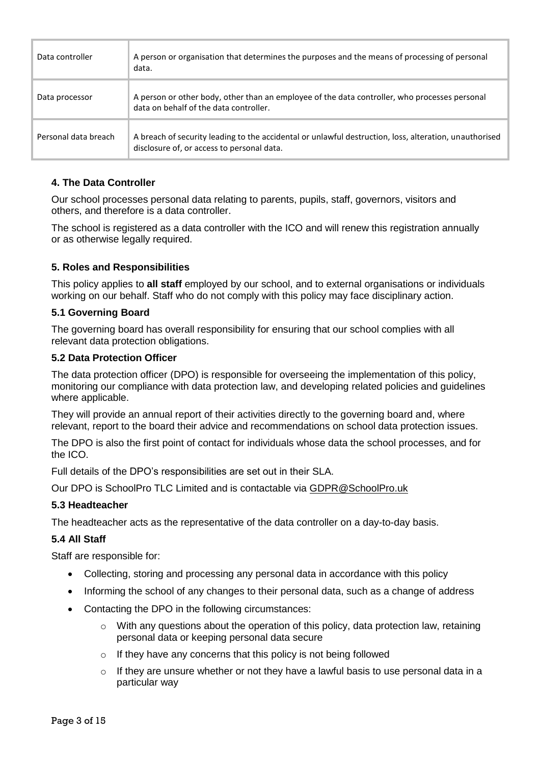| Data controller      | A person or organisation that determines the purposes and the means of processing of personal<br>data.                                               |
|----------------------|------------------------------------------------------------------------------------------------------------------------------------------------------|
| Data processor       | A person or other body, other than an employee of the data controller, who processes personal<br>data on behalf of the data controller.              |
| Personal data breach | A breach of security leading to the accidental or unlawful destruction, loss, alteration, unauthorised<br>disclosure of, or access to personal data. |

# <span id="page-2-0"></span>**4. The Data Controller**

Our school processes personal data relating to parents, pupils, staff, governors, visitors and others, and therefore is a data controller.

The school is registered as a data controller with the ICO and will renew this registration annually or as otherwise legally required.

## <span id="page-2-1"></span>**5. Roles and Responsibilities**

This policy applies to **all staff** employed by our school, and to external organisations or individuals working on our behalf. Staff who do not comply with this policy may face disciplinary action.

#### **5.1 Governing Board**

The governing board has overall responsibility for ensuring that our school complies with all relevant data protection obligations.

#### **5.2 Data Protection Officer**

The data protection officer (DPO) is responsible for overseeing the implementation of this policy, monitoring our compliance with data protection law, and developing related policies and guidelines where applicable.

They will provide an annual report of their activities directly to the governing board and, where relevant, report to the board their advice and recommendations on school data protection issues.

The DPO is also the first point of contact for individuals whose data the school processes, and for the ICO.

Full details of the DPO's responsibilities are set out in their SLA.

Our DPO is SchoolPro TLC Limited and is contactable via GDPR@SchoolPro.uk

## **5.3 Headteacher**

The headteacher acts as the representative of the data controller on a day-to-day basis.

## **5.4 All Staff**

Staff are responsible for:

- Collecting, storing and processing any personal data in accordance with this policy
- Informing the school of any changes to their personal data, such as a change of address
- Contacting the DPO in the following circumstances:
	- $\circ$  With any questions about the operation of this policy, data protection law, retaining personal data or keeping personal data secure
	- $\circ$  If they have any concerns that this policy is not being followed
	- $\circ$  If they are unsure whether or not they have a lawful basis to use personal data in a particular way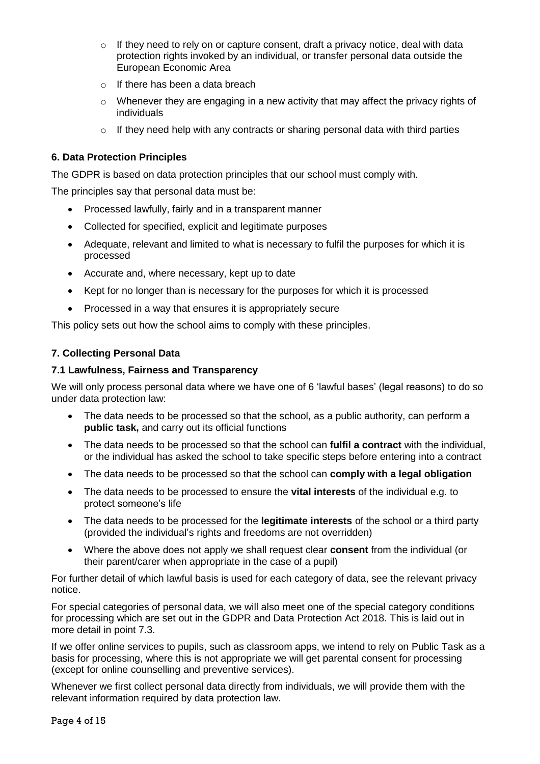- $\circ$  If they need to rely on or capture consent, draft a privacy notice, deal with data protection rights invoked by an individual, or transfer personal data outside the European Economic Area
- o If there has been a data breach
- $\circ$  Whenever they are engaging in a new activity that may affect the privacy rights of individuals
- $\circ$  If they need help with any contracts or sharing personal data with third parties

# <span id="page-3-0"></span>**6. Data Protection Principles**

The GDPR is based on data protection principles that our school must comply with.

The principles say that personal data must be:

- Processed lawfully, fairly and in a transparent manner
- Collected for specified, explicit and legitimate purposes
- Adequate, relevant and limited to what is necessary to fulfil the purposes for which it is processed
- Accurate and, where necessary, kept up to date
- Kept for no longer than is necessary for the purposes for which it is processed
- Processed in a way that ensures it is appropriately secure

<span id="page-3-1"></span>This policy sets out how the school aims to comply with these principles.

# **7. Collecting Personal Data**

## **7.1 Lawfulness, Fairness and Transparency**

We will only process personal data where we have one of 6 'lawful bases' (legal reasons) to do so under data protection law:

- The data needs to be processed so that the school, as a public authority, can perform a **public task,** and carry out its official functions
- The data needs to be processed so that the school can **fulfil a contract** with the individual, or the individual has asked the school to take specific steps before entering into a contract
- The data needs to be processed so that the school can **comply with a legal obligation**
- The data needs to be processed to ensure the **vital interests** of the individual e.g. to protect someone's life
- The data needs to be processed for the **legitimate interests** of the school or a third party (provided the individual's rights and freedoms are not overridden)
- Where the above does not apply we shall request clear **consent** from the individual (or their parent/carer when appropriate in the case of a pupil)

For further detail of which lawful basis is used for each category of data, see the relevant privacy notice.

For special categories of personal data, we will also meet one of the special category conditions for processing which are set out in the GDPR and Data Protection Act 2018. This is laid out in more detail in point 7.3.

If we offer online services to pupils, such as classroom apps, we intend to rely on Public Task as a basis for processing, where this is not appropriate we will get parental consent for processing (except for online counselling and preventive services).

Whenever we first collect personal data directly from individuals, we will provide them with the relevant information required by data protection law.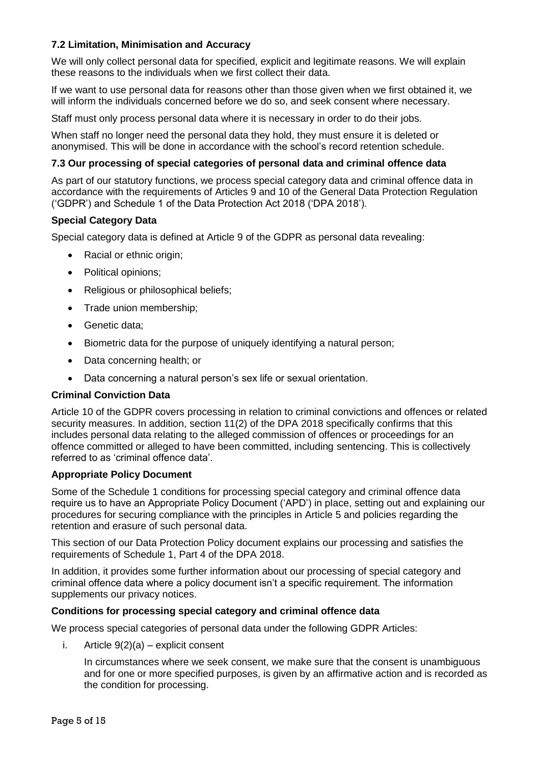# **7.2 Limitation, Minimisation and Accuracy**

We will only collect personal data for specified, explicit and legitimate reasons. We will explain these reasons to the individuals when we first collect their data.

If we want to use personal data for reasons other than those given when we first obtained it, we will inform the individuals concerned before we do so, and seek consent where necessary.

Staff must only process personal data where it is necessary in order to do their jobs.

When staff no longer need the personal data they hold, they must ensure it is deleted or anonymised. This will be done in accordance with the school's record retention schedule.

## **7.3 Our processing of special categories of personal data and criminal offence data**

As part of our statutory functions, we process special category data and criminal offence data in accordance with the requirements of Articles 9 and 10 of the General Data Protection Regulation ('GDPR') and Schedule 1 of the Data Protection Act 2018 ('DPA 2018').

## **Special Category Data**

Special category data is defined at Article 9 of the GDPR as personal data revealing:

- Racial or ethnic origin;
- Political opinions;
- Religious or philosophical beliefs;
- Trade union membership;
- Genetic data;
- Biometric data for the purpose of uniquely identifying a natural person;
- Data concerning health; or
- Data concerning a natural person's sex life or sexual orientation.

## **Criminal Conviction Data**

Article 10 of the GDPR covers processing in relation to criminal convictions and offences or related security measures. In addition, section 11(2) of the DPA 2018 specifically confirms that this includes personal data relating to the alleged commission of offences or proceedings for an offence committed or alleged to have been committed, including sentencing. This is collectively referred to as 'criminal offence data'.

#### **Appropriate Policy Document**

Some of the Schedule 1 conditions for processing special category and criminal offence data require us to have an Appropriate Policy Document ('APD') in place, setting out and explaining our procedures for securing compliance with the principles in Article 5 and policies regarding the retention and erasure of such personal data.

This section of our Data Protection Policy document explains our processing and satisfies the requirements of Schedule 1, Part 4 of the DPA 2018.

In addition, it provides some further information about our processing of special category and criminal offence data where a policy document isn't a specific requirement. The information supplements our privacy notices.

#### **Conditions for processing special category and criminal offence data**

We process special categories of personal data under the following GDPR Articles:

i. Article  $9(2)(a)$  – explicit consent

In circumstances where we seek consent, we make sure that the consent is unambiguous and for one or more specified purposes, is given by an affirmative action and is recorded as the condition for processing.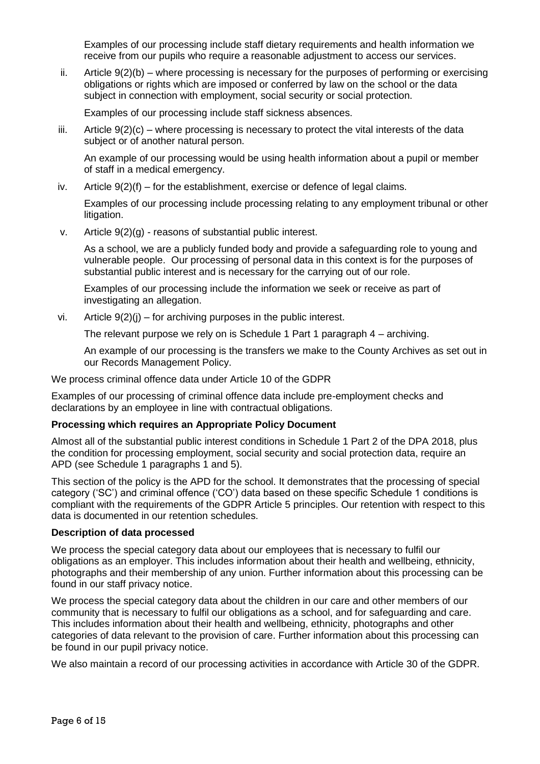Examples of our processing include staff dietary requirements and health information we receive from our pupils who require a reasonable adjustment to access our services.

ii. Article 9(2)(b) – where processing is necessary for the purposes of performing or exercising obligations or rights which are imposed or conferred by law on the school or the data subject in connection with employment, social security or social protection.

Examples of our processing include staff sickness absences.

 $i$ iii. Article  $9(2)(c)$  – where processing is necessary to protect the vital interests of the data subject or of another natural person.

An example of our processing would be using health information about a pupil or member of staff in a medical emergency.

iv. Article  $9(2)(f)$  – for the establishment, exercise or defence of legal claims.

Examples of our processing include processing relating to any employment tribunal or other litigation.

v. Article 9(2)(g) - reasons of substantial public interest.

As a school, we are a publicly funded body and provide a safeguarding role to young and vulnerable people. Our processing of personal data in this context is for the purposes of substantial public interest and is necessary for the carrying out of our role.

Examples of our processing include the information we seek or receive as part of investigating an allegation.

vi. Article  $9(2)(i)$  – for archiving purposes in the public interest.

The relevant purpose we rely on is Schedule 1 Part 1 paragraph 4 – archiving.

An example of our processing is the transfers we make to the County Archives as set out in our Records Management Policy.

We process criminal offence data under Article 10 of the GDPR

Examples of our processing of criminal offence data include pre-employment checks and declarations by an employee in line with contractual obligations.

## **Processing which requires an Appropriate Policy Document**

Almost all of the substantial public interest conditions in Schedule 1 Part 2 of the DPA 2018, plus the condition for processing employment, social security and social protection data, require an APD (see Schedule 1 paragraphs 1 and 5).

This section of the policy is the APD for the school. It demonstrates that the processing of special category ('SC') and criminal offence ('CO') data based on these specific Schedule 1 conditions is compliant with the requirements of the GDPR Article 5 principles. Our retention with respect to this data is documented in our retention schedules.

## **Description of data processed**

We process the special category data about our employees that is necessary to fulfil our obligations as an employer. This includes information about their health and wellbeing, ethnicity, photographs and their membership of any union. Further information about this processing can be found in our staff privacy notice.

We process the special category data about the children in our care and other members of our community that is necessary to fulfil our obligations as a school, and for safeguarding and care. This includes information about their health and wellbeing, ethnicity, photographs and other categories of data relevant to the provision of care. Further information about this processing can be found in our pupil privacy notice.

We also maintain a record of our processing activities in accordance with Article 30 of the GDPR.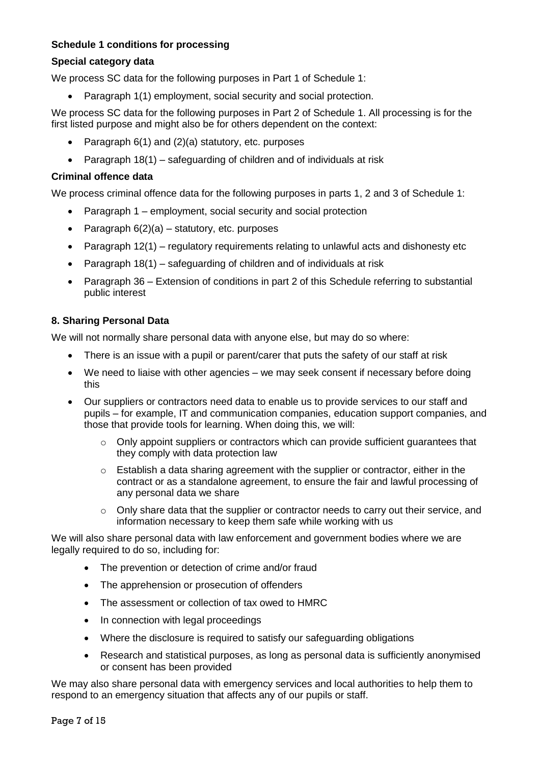# **Schedule 1 conditions for processing**

## **Special category data**

We process SC data for the following purposes in Part 1 of Schedule 1:

• Paragraph 1(1) employment, social security and social protection.

We process SC data for the following purposes in Part 2 of Schedule 1. All processing is for the first listed purpose and might also be for others dependent on the context:

- Paragraph 6(1) and (2)(a) statutory, etc. purposes
- Paragraph 18(1) safeguarding of children and of individuals at risk

#### **Criminal offence data**

We process criminal offence data for the following purposes in parts 1, 2 and 3 of Schedule 1:

- Paragraph 1 employment, social security and social protection
- Paragraph  $6(2)(a)$  statutory, etc. purposes
- Paragraph 12(1) regulatory requirements relating to unlawful acts and dishonesty etc
- Paragraph 18(1) safeguarding of children and of individuals at risk
- Paragraph 36 Extension of conditions in part 2 of this Schedule referring to substantial public interest

#### <span id="page-6-0"></span>**8. Sharing Personal Data**

We will not normally share personal data with anyone else, but may do so where:

- There is an issue with a pupil or parent/carer that puts the safety of our staff at risk
- We need to liaise with other agencies we may seek consent if necessary before doing this
- Our suppliers or contractors need data to enable us to provide services to our staff and pupils – for example, IT and communication companies, education support companies, and those that provide tools for learning. When doing this, we will:
	- o Only appoint suppliers or contractors which can provide sufficient guarantees that they comply with data protection law
	- $\circ$  Establish a data sharing agreement with the supplier or contractor, either in the contract or as a standalone agreement, to ensure the fair and lawful processing of any personal data we share
	- o Only share data that the supplier or contractor needs to carry out their service, and information necessary to keep them safe while working with us

We will also share personal data with law enforcement and government bodies where we are legally required to do so, including for:

- The prevention or detection of crime and/or fraud
- The apprehension or prosecution of offenders
- The assessment or collection of tax owed to HMRC
- In connection with legal proceedings
- Where the disclosure is required to satisfy our safeguarding obligations
- Research and statistical purposes, as long as personal data is sufficiently anonymised or consent has been provided

We may also share personal data with emergency services and local authorities to help them to respond to an emergency situation that affects any of our pupils or staff.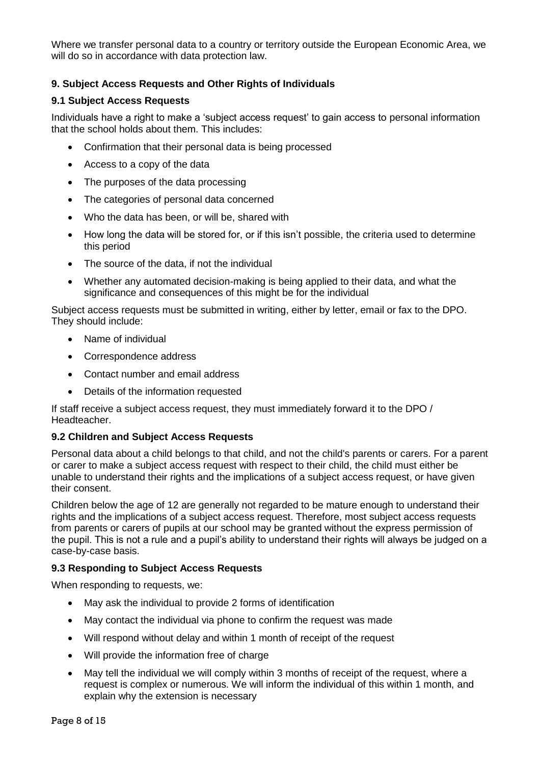Where we transfer personal data to a country or territory outside the European Economic Area, we will do so in accordance with data protection law.

# <span id="page-7-0"></span>**9. Subject Access Requests and Other Rights of Individuals**

## **9.1 Subject Access Requests**

Individuals have a right to make a 'subject access request' to gain access to personal information that the school holds about them. This includes:

- Confirmation that their personal data is being processed
- Access to a copy of the data
- The purposes of the data processing
- The categories of personal data concerned
- Who the data has been, or will be, shared with
- How long the data will be stored for, or if this isn't possible, the criteria used to determine this period
- The source of the data, if not the individual
- Whether any automated decision-making is being applied to their data, and what the significance and consequences of this might be for the individual

Subject access requests must be submitted in writing, either by letter, email or fax to the DPO. They should include:

- Name of individual
- Correspondence address
- Contact number and email address
- Details of the information requested

If staff receive a subject access request, they must immediately forward it to the DPO / Headteacher.

#### **9.2 Children and Subject Access Requests**

Personal data about a child belongs to that child, and not the child's parents or carers. For a parent or carer to make a subject access request with respect to their child, the child must either be unable to understand their rights and the implications of a subject access request, or have given their consent.

Children below the age of 12 are generally not regarded to be mature enough to understand their rights and the implications of a subject access request. Therefore, most subject access requests from parents or carers of pupils at our school may be granted without the express permission of the pupil. This is not a rule and a pupil's ability to understand their rights will always be judged on a case-by-case basis.

#### **9.3 Responding to Subject Access Requests**

When responding to requests, we:

- May ask the individual to provide 2 forms of identification
- May contact the individual via phone to confirm the request was made
- Will respond without delay and within 1 month of receipt of the request
- Will provide the information free of charge
- May tell the individual we will comply within 3 months of receipt of the request, where a request is complex or numerous. We will inform the individual of this within 1 month, and explain why the extension is necessary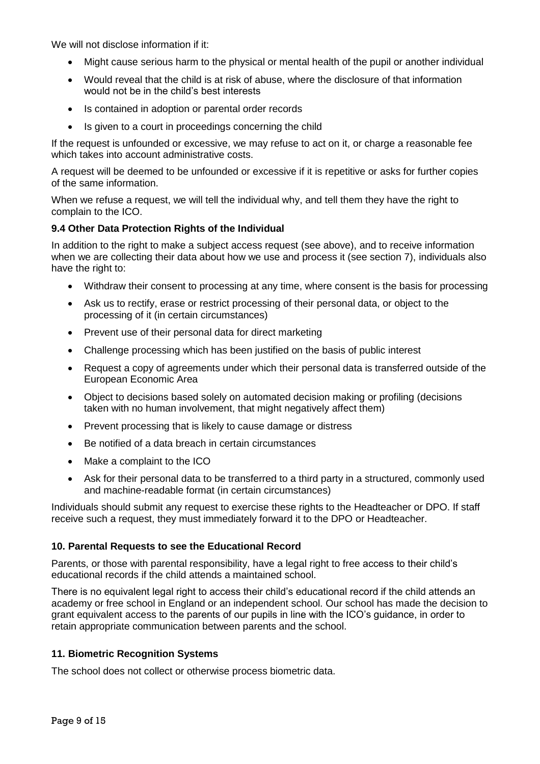We will not disclose information if it:

- Might cause serious harm to the physical or mental health of the pupil or another individual
- Would reveal that the child is at risk of abuse, where the disclosure of that information would not be in the child's best interests
- Is contained in adoption or parental order records
- Is given to a court in proceedings concerning the child

If the request is unfounded or excessive, we may refuse to act on it, or charge a reasonable fee which takes into account administrative costs.

A request will be deemed to be unfounded or excessive if it is repetitive or asks for further copies of the same information.

When we refuse a request, we will tell the individual why, and tell them they have the right to complain to the ICO.

#### **9.4 Other Data Protection Rights of the Individual**

In addition to the right to make a subject access request (see above), and to receive information when we are collecting their data about how we use and process it (see section 7), individuals also have the right to:

- Withdraw their consent to processing at any time, where consent is the basis for processing
- Ask us to rectify, erase or restrict processing of their personal data, or object to the processing of it (in certain circumstances)
- Prevent use of their personal data for direct marketing
- Challenge processing which has been justified on the basis of public interest
- Request a copy of agreements under which their personal data is transferred outside of the European Economic Area
- Object to decisions based solely on automated decision making or profiling (decisions taken with no human involvement, that might negatively affect them)
- Prevent processing that is likely to cause damage or distress
- Be notified of a data breach in certain circumstances
- Make a complaint to the ICO
- Ask for their personal data to be transferred to a third party in a structured, commonly used and machine-readable format (in certain circumstances)

Individuals should submit any request to exercise these rights to the Headteacher or DPO. If staff receive such a request, they must immediately forward it to the DPO or Headteacher.

## <span id="page-8-0"></span>**10. Parental Requests to see the Educational Record**

Parents, or those with parental responsibility, have a legal right to free access to their child's educational records if the child attends a maintained school.

There is no equivalent legal right to access their child's educational record if the child attends an academy or free school in England or an independent school. Our school has made the decision to grant equivalent access to the parents of our pupils in line with the ICO's guidance, in order to retain appropriate communication between parents and the school.

## <span id="page-8-1"></span>**11. Biometric Recognition Systems**

The school does not collect or otherwise process biometric data.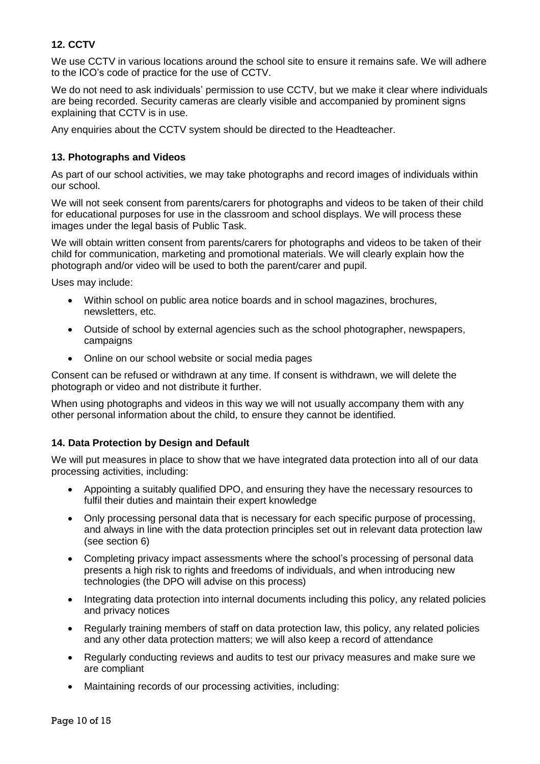# <span id="page-9-0"></span>**12. CCTV**

We use CCTV in various locations around the school site to ensure it remains safe. We will adhere to the ICO's [code of practice](https://ico.org.uk/media/for-organisations/documents/1542/cctv-code-of-practice.pdf) for the use of CCTV.

We do not need to ask individuals' permission to use CCTV, but we make it clear where individuals are being recorded. Security cameras are clearly visible and accompanied by prominent signs explaining that CCTV is in use.

<span id="page-9-1"></span>Any enquiries about the CCTV system should be directed to the Headteacher.

## **13. Photographs and Videos**

As part of our school activities, we may take photographs and record images of individuals within our school.

We will not seek consent from parents/carers for photographs and videos to be taken of their child for educational purposes for use in the classroom and school displays. We will process these images under the legal basis of Public Task.

We will obtain written consent from parents/carers for photographs and videos to be taken of their child for communication, marketing and promotional materials. We will clearly explain how the photograph and/or video will be used to both the parent/carer and pupil.

Uses may include:

- Within school on public area notice boards and in school magazines, brochures, newsletters, etc.
- Outside of school by external agencies such as the school photographer, newspapers, campaigns
- Online on our school website or social media pages

Consent can be refused or withdrawn at any time. If consent is withdrawn, we will delete the photograph or video and not distribute it further.

When using photographs and videos in this way we will not usually accompany them with any other personal information about the child, to ensure they cannot be identified.

## <span id="page-9-2"></span>**14. Data Protection by Design and Default**

We will put measures in place to show that we have integrated data protection into all of our data processing activities, including:

- Appointing a suitably qualified DPO, and ensuring they have the necessary resources to fulfil their duties and maintain their expert knowledge
- Only processing personal data that is necessary for each specific purpose of processing, and always in line with the data protection principles set out in relevant data protection law (see section 6)
- Completing privacy impact assessments where the school's processing of personal data presents a high risk to rights and freedoms of individuals, and when introducing new technologies (the DPO will advise on this process)
- Integrating data protection into internal documents including this policy, any related policies and privacy notices
- Regularly training members of staff on data protection law, this policy, any related policies and any other data protection matters; we will also keep a record of attendance
- Regularly conducting reviews and audits to test our privacy measures and make sure we are compliant
- Maintaining records of our processing activities, including: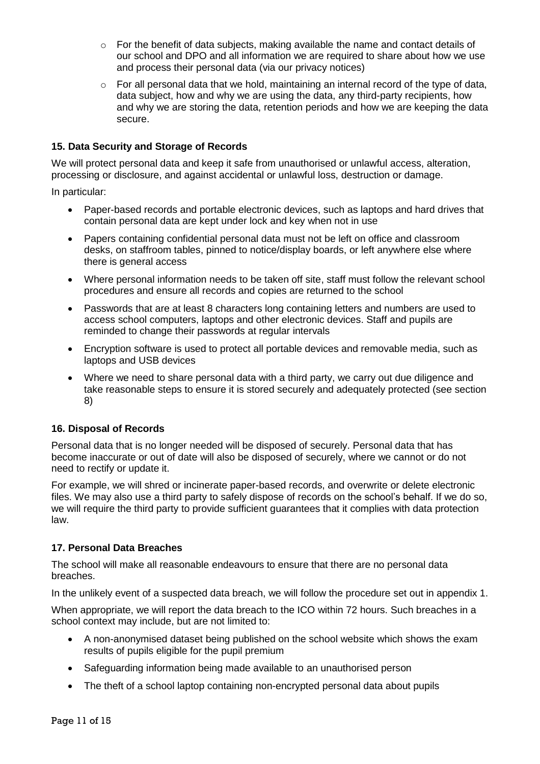- o For the benefit of data subjects, making available the name and contact details of our school and DPO and all information we are required to share about how we use and process their personal data (via our privacy notices)
- o For all personal data that we hold, maintaining an internal record of the type of data, data subject, how and why we are using the data, any third-party recipients, how and why we are storing the data, retention periods and how we are keeping the data secure.

## <span id="page-10-0"></span>**15. Data Security and Storage of Records**

We will protect personal data and keep it safe from unauthorised or unlawful access, alteration, processing or disclosure, and against accidental or unlawful loss, destruction or damage.

In particular:

- Paper-based records and portable electronic devices, such as laptops and hard drives that contain personal data are kept under lock and key when not in use
- Papers containing confidential personal data must not be left on office and classroom desks, on staffroom tables, pinned to notice/display boards, or left anywhere else where there is general access
- Where personal information needs to be taken off site, staff must follow the relevant school procedures and ensure all records and copies are returned to the school
- Passwords that are at least 8 characters long containing letters and numbers are used to access school computers, laptops and other electronic devices. Staff and pupils are reminded to change their passwords at regular intervals
- Encryption software is used to protect all portable devices and removable media, such as laptops and USB devices
- Where we need to share personal data with a third party, we carry out due diligence and take reasonable steps to ensure it is stored securely and adequately protected (see section 8)

## <span id="page-10-1"></span>**16. Disposal of Records**

Personal data that is no longer needed will be disposed of securely. Personal data that has become inaccurate or out of date will also be disposed of securely, where we cannot or do not need to rectify or update it.

For example, we will shred or incinerate paper-based records, and overwrite or delete electronic files. We may also use a third party to safely dispose of records on the school's behalf. If we do so, we will require the third party to provide sufficient guarantees that it complies with data protection law.

## <span id="page-10-2"></span>**17. Personal Data Breaches**

The school will make all reasonable endeavours to ensure that there are no personal data breaches.

In the unlikely event of a suspected data breach, we will follow the procedure set out in appendix 1.

When appropriate, we will report the data breach to the ICO within 72 hours. Such breaches in a school context may include, but are not limited to:

- A non-anonymised dataset being published on the school website which shows the exam results of pupils eligible for the pupil premium
- Safeguarding information being made available to an unauthorised person
- The theft of a school laptop containing non-encrypted personal data about pupils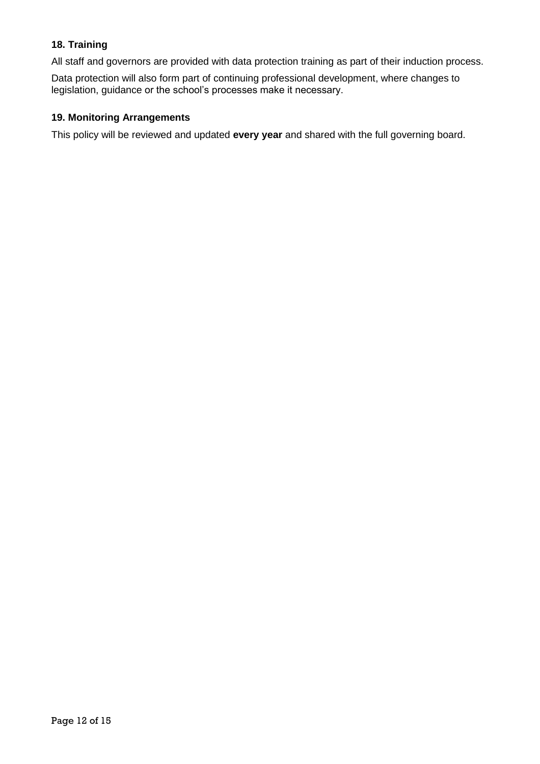# <span id="page-11-0"></span>**18. Training**

All staff and governors are provided with data protection training as part of their induction process.

Data protection will also form part of continuing professional development, where changes to legislation, guidance or the school's processes make it necessary.

## <span id="page-11-1"></span>**19. Monitoring Arrangements**

This policy will be reviewed and updated **every year** and shared with the full governing board.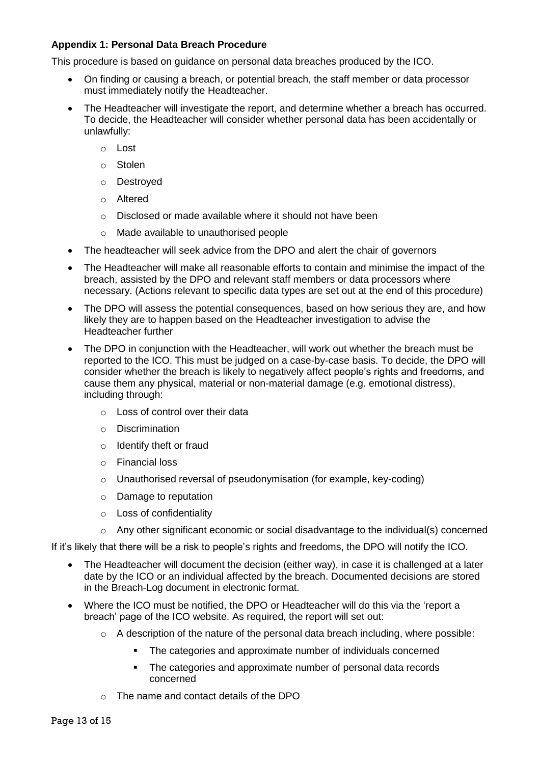## <span id="page-12-0"></span>**Appendix 1: Personal Data Breach Procedure**

This procedure is based on [guidance on personal data breaches](https://ico.org.uk/for-organisations/guide-to-the-general-data-protection-regulation-gdpr/personal-data-breaches/) produced by the ICO.

- On finding or causing a breach, or potential breach, the staff member or data processor must immediately notify the Headteacher.
- The Headteacher will investigate the report, and determine whether a breach has occurred. To decide, the Headteacher will consider whether personal data has been accidentally or unlawfully:
	- o Lost
	- o Stolen
	- o Destroyed
	- o Altered
	- o Disclosed or made available where it should not have been
	- o Made available to unauthorised people
- The headteacher will seek advice from the DPO and alert the chair of governors
- The Headteacher will make all reasonable efforts to contain and minimise the impact of the breach, assisted by the DPO and relevant staff members or data processors where necessary. (Actions relevant to specific data types are set out at the end of this procedure)
- The DPO will assess the potential consequences, based on how serious they are, and how likely they are to happen based on the Headteacher investigation to advise the Headteacher further
- The DPO in conjunction with the Headteacher, will work out whether the breach must be reported to the ICO. This must be judged on a case-by-case basis. To decide, the DPO will consider whether the breach is likely to negatively affect people's rights and freedoms, and cause them any physical, material or non-material damage (e.g. emotional distress), including through:
	- o Loss of control over their data
	- o Discrimination
	- o Identify theft or fraud
	- o Financial loss
	- o Unauthorised reversal of pseudonymisation (for example, key-coding)
	- o Damage to reputation
	- o Loss of confidentiality
	- o Any other significant economic or social disadvantage to the individual(s) concerned

If it's likely that there will be a risk to people's rights and freedoms, the DPO will notify the ICO.

- The Headteacher will document the decision (either way), in case it is challenged at a later date by the ICO or an individual affected by the breach. Documented decisions are stored in the Breach-Log document in electronic format.
- Where the ICO must be notified, the DPO or Headteacher will do this via the ['report a](https://ico.org.uk/for-organisations/report-a-breach/)  [breach' page of the ICO website.](https://ico.org.uk/for-organisations/report-a-breach/) As required, the report will set out:
	- $\circ$  A description of the nature of the personal data breach including, where possible:
		- The categories and approximate number of individuals concerned
		- The categories and approximate number of personal data records concerned
	- o The name and contact details of the DPO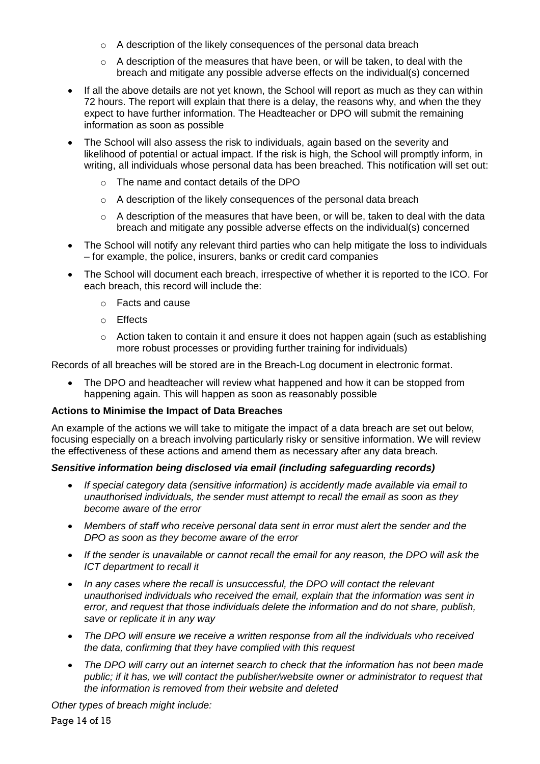- o A description of the likely consequences of the personal data breach
- $\circ$  A description of the measures that have been, or will be taken, to deal with the breach and mitigate any possible adverse effects on the individual(s) concerned
- If all the above details are not yet known, the School will report as much as they can within 72 hours. The report will explain that there is a delay, the reasons why, and when the they expect to have further information. The Headteacher or DPO will submit the remaining information as soon as possible
- The School will also assess the risk to individuals, again based on the severity and likelihood of potential or actual impact. If the risk is high, the School will promptly inform, in writing, all individuals whose personal data has been breached. This notification will set out:
	- o The name and contact details of the DPO
	- o A description of the likely consequences of the personal data breach
	- o A description of the measures that have been, or will be, taken to deal with the data breach and mitigate any possible adverse effects on the individual(s) concerned
- The School will notify any relevant third parties who can help mitigate the loss to individuals – for example, the police, insurers, banks or credit card companies
- The School will document each breach, irrespective of whether it is reported to the ICO. For each breach, this record will include the:
	- o Facts and cause
	- o Effects
	- $\circ$  Action taken to contain it and ensure it does not happen again (such as establishing more robust processes or providing further training for individuals)

Records of all breaches will be stored are in the Breach-Log document in electronic format.

• The DPO and headteacher will review what happened and how it can be stopped from happening again. This will happen as soon as reasonably possible

## **Actions to Minimise the Impact of Data Breaches**

An example of the actions we will take to mitigate the impact of a data breach are set out below, focusing especially on a breach involving particularly risky or sensitive information. We will review the effectiveness of these actions and amend them as necessary after any data breach.

## *Sensitive information being disclosed via email (including safeguarding records)*

- *If special category data (sensitive information) is accidently made available via email to unauthorised individuals, the sender must attempt to recall the email as soon as they become aware of the error*
- *Members of staff who receive personal data sent in error must alert the sender and the DPO as soon as they become aware of the error*
- *If the sender is unavailable or cannot recall the email for any reason, the DPO will ask the ICT department to recall it*
- *In any cases where the recall is unsuccessful, the DPO will contact the relevant unauthorised individuals who received the email, explain that the information was sent in error, and request that those individuals delete the information and do not share, publish, save or replicate it in any way*
- *The DPO will ensure we receive a written response from all the individuals who received the data, confirming that they have complied with this request*
- *The DPO will carry out an internet search to check that the information has not been made public; if it has, we will contact the publisher/website owner or administrator to request that the information is removed from their website and deleted*

*Other types of breach might include:*